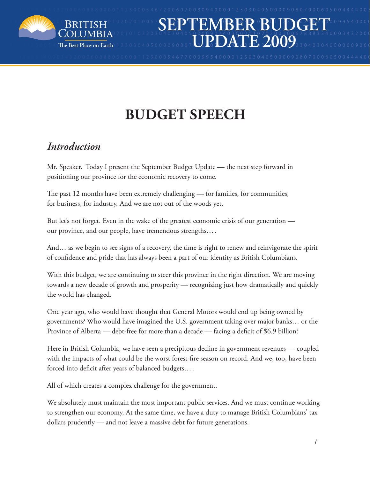

# **budget speech**

## *Introduction*

Mr. Speaker. Today I present the September Budget Update — the next step forward in positioning our province for the economic recovery to come.

The past 12 months have been extremely challenging — for families, for communities, for business, for industry. And we are not out of the woods yet.

But let's not forget. Even in the wake of the greatest economic crisis of our generation our province, and our people, have tremendous strengths….

And… as we begin to see signs of a recovery, the time is right to renew and reinvigorate the spirit of confidence and pride that has always been a part of our identity as British Columbians.

With this budget, we are continuing to steer this province in the right direction. We are moving towards a new decade of growth and prosperity — recognizing just how dramatically and quickly the world has changed.

One year ago, who would have thought that General Motors would end up being owned by governments? Who would have imagined the U.S. government taking over major banks… or the Province of Alberta — debt-free for more than a decade — facing a deficit of \$6.9 billion?

Here in British Columbia, we have seen a precipitous decline in government revenues — coupled with the impacts of what could be the worst forest-fire season on record. And we, too, have been forced into deficit after years of balanced budgets….

All of which creates a complex challenge for the government.

We absolutely must maintain the most important public services. And we must continue working to strengthen our economy. At the same time, we have a duty to manage British Columbians' tax dollars prudently — and not leave a massive debt for future generations.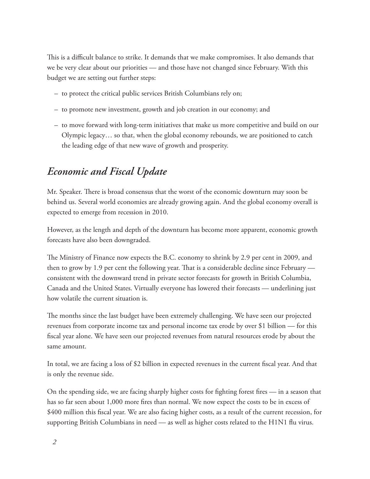This is a difficult balance to strike. It demands that we make compromises. It also demands that we be very clear about our priorities — and those have not changed since February. With this budget we are setting out further steps:

- to protect the critical public services British Columbians rely on;
- to promote new investment, growth and job creation in our economy; and
- to move forward with long-term initiatives that make us more competitive and build on our Olympic legacy… so that, when the global economy rebounds, we are positioned to catch the leading edge of that new wave of growth and prosperity.

# *Economic and Fiscal Update*

Mr. Speaker. There is broad consensus that the worst of the economic downturn may soon be behind us. Several world economies are already growing again. And the global economy overall is expected to emerge from recession in 2010.

However, as the length and depth of the downturn has become more apparent, economic growth forecasts have also been downgraded.

The Ministry of Finance now expects the B.C. economy to shrink by 2.9 per cent in 2009, and then to grow by 1.9 per cent the following year. That is a considerable decline since February consistent with the downward trend in private sector forecasts for growth in British Columbia, Canada and the United States. Virtually everyone has lowered their forecasts — underlining just how volatile the current situation is.

The months since the last budget have been extremely challenging. We have seen our projected revenues from corporate income tax and personal income tax erode by over \$1 billion — for this fiscal year alone. We have seen our projected revenues from natural resources erode by about the same amount.

In total, we are facing a loss of \$2 billion in expected revenues in the current fiscal year. And that is only the revenue side.

On the spending side, we are facing sharply higher costs for fighting forest fires — in a season that has so far seen about 1,000 more fires than normal. We now expect the costs to be in excess of \$400 million this fiscal year. We are also facing higher costs, as a result of the current recession, for supporting British Columbians in need — as well as higher costs related to the H1N1 flu virus.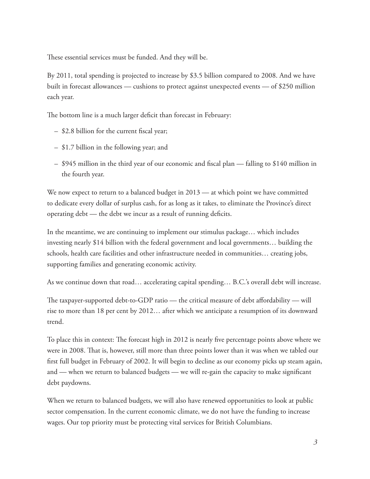These essential services must be funded. And they will be.

By 2011, total spending is projected to increase by \$3.5 billion compared to 2008. And we have built in forecast allowances — cushions to protect against unexpected events — of \$250 million each year.

The bottom line is a much larger deficit than forecast in February:

- \$2.8 billion for the current fiscal year;
- \$1.7 billion in the following year; and
- \$945 million in the third year of our economic and fiscal plan falling to \$140 million in the fourth year.

We now expect to return to a balanced budget in 2013 — at which point we have committed to dedicate every dollar of surplus cash, for as long as it takes, to eliminate the Province's direct operating debt — the debt we incur as a result of running deficits.

In the meantime, we are continuing to implement our stimulus package… which includes investing nearly \$14 billion with the federal government and local governments… building the schools, health care facilities and other infrastructure needed in communities… creating jobs, supporting families and generating economic activity.

As we continue down that road… accelerating capital spending… B.C.'s overall debt will increase.

The taxpayer-supported debt-to-GDP ratio — the critical measure of debt affordability — will rise to more than 18 per cent by 2012… after which we anticipate a resumption of its downward trend.

To place this in context: The forecast high in 2012 is nearly five percentage points above where we were in 2008. That is, however, still more than three points lower than it was when we tabled our first full budget in February of 2002. It will begin to decline as our economy picks up steam again, and — when we return to balanced budgets — we will re-gain the capacity to make significant debt paydowns.

When we return to balanced budgets, we will also have renewed opportunities to look at public sector compensation. In the current economic climate, we do not have the funding to increase wages. Our top priority must be protecting vital services for British Columbians.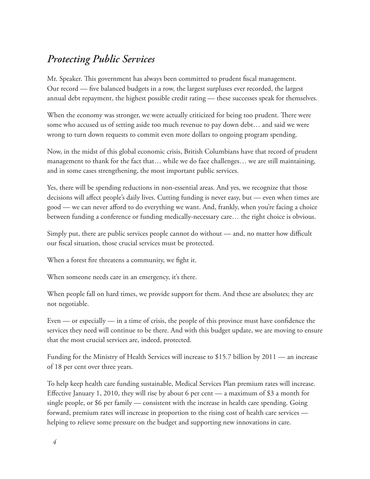#### *Protecting Public Services*

Mr. Speaker. This government has always been committed to prudent fiscal management. Our record — five balanced budgets in a row, the largest surpluses ever recorded, the largest annual debt repayment, the highest possible credit rating — these successes speak for themselves.

When the economy was stronger, we were actually criticized for being too prudent. There were some who accused us of setting aside too much revenue to pay down debt… and said we were wrong to turn down requests to commit even more dollars to ongoing program spending.

Now, in the midst of this global economic crisis, British Columbians have that record of prudent management to thank for the fact that… while we do face challenges… we are still maintaining, and in some cases strengthening, the most important public services.

Yes, there will be spending reductions in non-essential areas. And yes, we recognize that those decisions will affect people's daily lives. Cutting funding is never easy, but — even when times are good — we can never afford to do everything we want. And, frankly, when you're facing a choice between funding a conference or funding medically-necessary care… the right choice is obvious.

Simply put, there are public services people cannot do without — and, no matter how difficult our fiscal situation, those crucial services must be protected.

When a forest fire threatens a community, we fight it.

When someone needs care in an emergency, it's there.

When people fall on hard times, we provide support for them. And these are absolutes; they are not negotiable.

Even — or especially — in a time of crisis, the people of this province must have confidence the services they need will continue to be there. And with this budget update, we are moving to ensure that the most crucial services are, indeed, protected.

Funding for the Ministry of Health Services will increase to \$15.7 billion by 2011 — an increase of 18 per cent over three years.

To help keep health care funding sustainable, Medical Services Plan premium rates will increase. Effective January 1, 2010, they will rise by about 6 per cent — a maximum of \$3 a month for single people, or \$6 per family — consistent with the increase in health care spending. Going forward, premium rates will increase in proportion to the rising cost of health care services helping to relieve some pressure on the budget and supporting new innovations in care.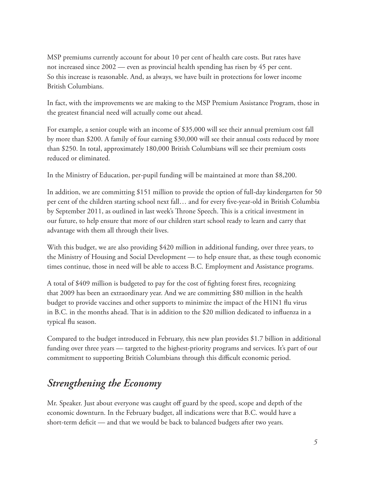MSP premiums currently account for about 10 per cent of health care costs. But rates have not increased since 2002 — even as provincial health spending has risen by 45 per cent. So this increase is reasonable. And, as always, we have built in protections for lower income British Columbians.

In fact, with the improvements we are making to the MSP Premium Assistance Program, those in the greatest financial need will actually come out ahead.

For example, a senior couple with an income of \$35,000 will see their annual premium cost fall by more than \$200. A family of four earning \$30,000 will see their annual costs reduced by more than \$250. In total, approximately 180,000 British Columbians will see their premium costs reduced or eliminated.

In the Ministry of Education, per-pupil funding will be maintained at more than \$8,200.

In addition, we are committing \$151 million to provide the option of full-day kindergarten for 50 per cent of the children starting school next fall… and for every five-year-old in British Columbia by September 2011, as outlined in last week's Throne Speech. This is a critical investment in our future, to help ensure that more of our children start school ready to learn and carry that advantage with them all through their lives.

With this budget, we are also providing \$420 million in additional funding, over three years, to the Ministry of Housing and Social Development — to help ensure that, as these tough economic times continue, those in need will be able to access B.C. Employment and Assistance programs.

A total of \$409 million is budgeted to pay for the cost of fighting forest fires, recognizing that 2009 has been an extraordinary year. And we are committing \$80 million in the health budget to provide vaccines and other supports to minimize the impact of the H1N1 flu virus in B.C. in the months ahead. That is in addition to the \$20 million dedicated to influenza in a typical flu season.

Compared to the budget introduced in February, this new plan provides \$1.7 billion in additional funding over three years — targeted to the highest-priority programs and services. It's part of our commitment to supporting British Columbians through this difficult economic period.

## *Strengthening the Economy*

Mr. Speaker. Just about everyone was caught off guard by the speed, scope and depth of the economic downturn. In the February budget, all indications were that B.C. would have a short-term deficit — and that we would be back to balanced budgets after two years.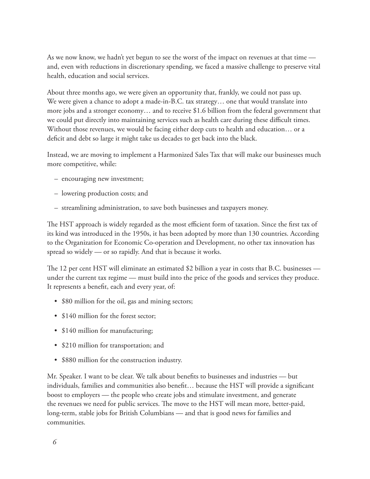As we now know, we hadn't yet begun to see the worst of the impact on revenues at that time and, even with reductions in discretionary spending, we faced a massive challenge to preserve vital health, education and social services.

About three months ago, we were given an opportunity that, frankly, we could not pass up. We were given a chance to adopt a made-in-B.C. tax strategy… one that would translate into more jobs and a stronger economy… and to receive \$1.6 billion from the federal government that we could put directly into maintaining services such as health care during these difficult times. Without those revenues, we would be facing either deep cuts to health and education… or a deficit and debt so large it might take us decades to get back into the black.

Instead, we are moving to implement a Harmonized Sales Tax that will make our businesses much more competitive, while:

- encouraging new investment;
- lowering production costs; and
- streamlining administration, to save both businesses and taxpayers money.

The HST approach is widely regarded as the most efficient form of taxation. Since the first tax of its kind was introduced in the 1950s, it has been adopted by more than 130 countries. According to the Organization for Economic Co-operation and Development, no other tax innovation has spread so widely — or so rapidly. And that is because it works.

The 12 per cent HST will eliminate an estimated \$2 billion a year in costs that B.C. businesses under the current tax regime — must build into the price of the goods and services they produce. It represents a benefit, each and every year, of:

- \$80 million for the oil, gas and mining sectors;
- \$140 million for the forest sector;
- \$140 million for manufacturing;
- • \$210 million for transportation; and
- \$880 million for the construction industry.

Mr. Speaker. I want to be clear. We talk about benefits to businesses and industries — but individuals, families and communities also benefit… because the HST will provide a significant boost to employers — the people who create jobs and stimulate investment, and generate the revenues we need for public services. The move to the HST will mean more, better-paid, long-term, stable jobs for British Columbians — and that is good news for families and communities.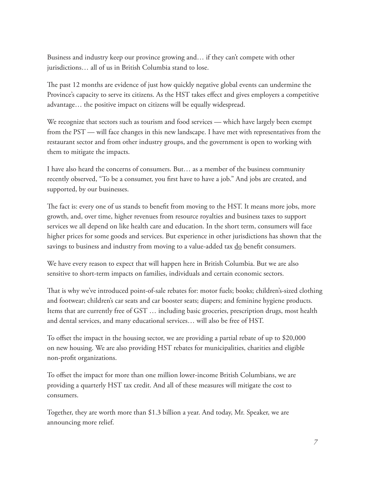Business and industry keep our province growing and… if they can't compete with other jurisdictions… all of us in British Columbia stand to lose.

The past 12 months are evidence of just how quickly negative global events can undermine the Province's capacity to serve its citizens. As the HST takes effect and gives employers a competitive advantage… the positive impact on citizens will be equally widespread.

We recognize that sectors such as tourism and food services — which have largely been exempt from the PST — will face changes in this new landscape. I have met with representatives from the restaurant sector and from other industry groups, and the government is open to working with them to mitigate the impacts.

I have also heard the concerns of consumers. But… as a member of the business community recently observed, "To be a consumer, you first have to have a job." And jobs are created, and supported, by our businesses.

The fact is: every one of us stands to benefit from moving to the HST. It means more jobs, more growth, and, over time, higher revenues from resource royalties and business taxes to support services we all depend on like health care and education. In the short term, consumers will face higher prices for some goods and services. But experience in other jurisdictions has shown that the savings to business and industry from moving to a value-added tax do benefit consumers.

We have every reason to expect that will happen here in British Columbia. But we are also sensitive to short-term impacts on families, individuals and certain economic sectors.

That is why we've introduced point-of-sale rebates for: motor fuels; books; children's-sized clothing and footwear; children's car seats and car booster seats; diapers; and feminine hygiene products. Items that are currently free of GST … including basic groceries, prescription drugs, most health and dental services, and many educational services… will also be free of HST.

To offset the impact in the housing sector, we are providing a partial rebate of up to \$20,000 on new housing. We are also providing HST rebates for municipalities, charities and eligible non-profit organizations.

To offset the impact for more than one million lower-income British Columbians, we are providing a quarterly HST tax credit. And all of these measures will mitigate the cost to consumers.

Together, they are worth more than \$1.3 billion a year. And today, Mr. Speaker, we are announcing more relief.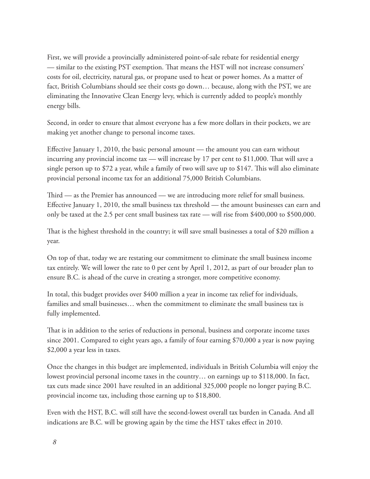First, we will provide a provincially administered point-of-sale rebate for residential energy — similar to the existing PST exemption. That means the HST will not increase consumers' costs for oil, electricity, natural gas, or propane used to heat or power homes. As a matter of fact, British Columbians should see their costs go down… because, along with the PST, we are eliminating the Innovative Clean Energy levy, which is currently added to people's monthly energy bills.

Second, in order to ensure that almost everyone has a few more dollars in their pockets, we are making yet another change to personal income taxes.

Effective January 1, 2010, the basic personal amount — the amount you can earn without incurring any provincial income tax — will increase by 17 per cent to \$11,000. That will save a single person up to \$72 a year, while a family of two will save up to \$147. This will also eliminate provincial personal income tax for an additional 75,000 British Columbians.

Third — as the Premier has announced — we are introducing more relief for small business. Effective January 1, 2010, the small business tax threshold — the amount businesses can earn and only be taxed at the 2.5 per cent small business tax rate — will rise from \$400,000 to \$500,000.

That is the highest threshold in the country; it will save small businesses a total of \$20 million a year.

On top of that, today we are restating our commitment to eliminate the small business income tax entirely. We will lower the rate to 0 per cent by April 1, 2012, as part of our broader plan to ensure B.C. is ahead of the curve in creating a stronger, more competitive economy.

In total, this budget provides over \$400 million a year in income tax relief for individuals, families and small businesses… when the commitment to eliminate the small business tax is fully implemented.

That is in addition to the series of reductions in personal, business and corporate income taxes since 2001. Compared to eight years ago, a family of four earning \$70,000 a year is now paying \$2,000 a year less in taxes.

Once the changes in this budget are implemented, individuals in British Columbia will enjoy the lowest provincial personal income taxes in the country… on earnings up to \$118,000. In fact, tax cuts made since 2001 have resulted in an additional 325,000 people no longer paying B.C. provincial income tax, including those earning up to \$18,800.

Even with the HST, B.C. will still have the second-lowest overall tax burden in Canada. And all indications are B.C. will be growing again by the time the HST takes effect in 2010.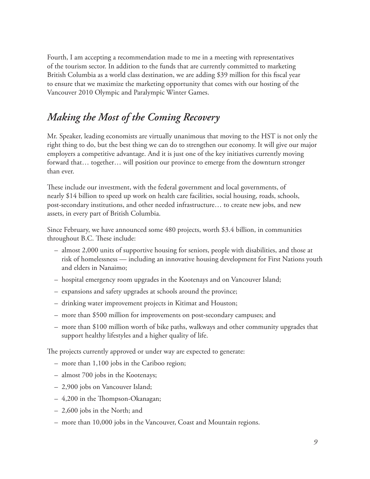Fourth, I am accepting a recommendation made to me in a meeting with representatives of the tourism sector. In addition to the funds that are currently committed to marketing British Columbia as a world class destination, we are adding \$39 million for this fiscal year to ensure that we maximize the marketing opportunity that comes with our hosting of the Vancouver 2010 Olympic and Paralympic Winter Games.

#### *Making the Most of the Coming Recovery*

Mr. Speaker, leading economists are virtually unanimous that moving to the HST is not only the right thing to do, but the best thing we can do to strengthen our economy. It will give our major employers a competitive advantage. And it is just one of the key initiatives currently moving forward that… together… will position our province to emerge from the downturn stronger than ever.

These include our investment, with the federal government and local governments, of nearly \$14 billion to speed up work on health care facilities, social housing, roads, schools, post-secondary institutions, and other needed infrastructure… to create new jobs, and new assets, in every part of British Columbia.

Since February, we have announced some 480 projects, worth \$3.4 billion, in communities throughout B.C. These include:

- almost 2,000 units of supportive housing for seniors, people with disabilities, and those at risk of homelessness — including an innovative housing development for First Nations youth and elders in Nanaimo;
- hospital emergency room upgrades in the Kootenays and on Vancouver Island;
- expansions and safety upgrades at schools around the province;
- drinking water improvement projects in Kitimat and Houston;
- more than \$500 million for improvements on post-secondary campuses; and
- more than \$100 million worth of bike paths, walkways and other community upgrades that support healthy lifestyles and a higher quality of life.

The projects currently approved or under way are expected to generate:

- more than 1,100 jobs in the Cariboo region;
- almost 700 jobs in the Kootenays;
- 2,900 jobs on Vancouver Island;
- 4,200 in the Thompson-Okanagan;
- 2,600 jobs in the North; and
- more than 10,000 jobs in the Vancouver, Coast and Mountain regions.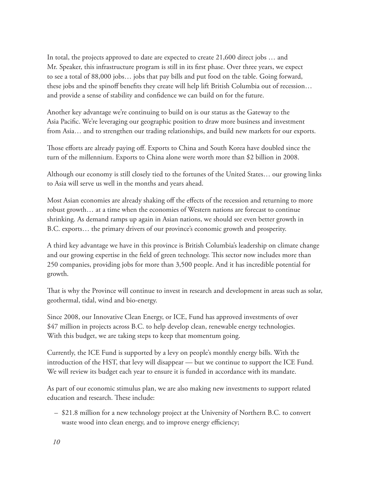In total, the projects approved to date are expected to create 21,600 direct jobs … and Mr. Speaker, this infrastructure program is still in its first phase. Over three years, we expect to see a total of 88,000 jobs… jobs that pay bills and put food on the table. Going forward, these jobs and the spinoff benefits they create will help lift British Columbia out of recession… and provide a sense of stability and confidence we can build on for the future.

Another key advantage we're continuing to build on is our status as the Gateway to the Asia Pacific. We're leveraging our geographic position to draw more business and investment from Asia… and to strengthen our trading relationships, and build new markets for our exports.

Those efforts are already paying off. Exports to China and South Korea have doubled since the turn of the millennium. Exports to China alone were worth more than \$2 billion in 2008.

Although our economy is still closely tied to the fortunes of the United States… our growing links to Asia will serve us well in the months and years ahead.

Most Asian economies are already shaking off the effects of the recession and returning to more robust growth… at a time when the economies of Western nations are forecast to continue shrinking. As demand ramps up again in Asian nations, we should see even better growth in B.C. exports… the primary drivers of our province's economic growth and prosperity.

A third key advantage we have in this province is British Columbia's leadership on climate change and our growing expertise in the field of green technology. This sector now includes more than 250 companies, providing jobs for more than 3,500 people. And it has incredible potential for growth.

That is why the Province will continue to invest in research and development in areas such as solar, geothermal, tidal, wind and bio-energy.

Since 2008, our Innovative Clean Energy, or ICE, Fund has approved investments of over \$47 million in projects across B.C. to help develop clean, renewable energy technologies. With this budget, we are taking steps to keep that momentum going.

Currently, the ICE Fund is supported by a levy on people's monthly energy bills. With the introduction of the HST, that levy will disappear — but we continue to support the ICE Fund. We will review its budget each year to ensure it is funded in accordance with its mandate.

As part of our economic stimulus plan, we are also making new investments to support related education and research. These include:

– \$21.8 million for a new technology project at the University of Northern B.C. to convert waste wood into clean energy, and to improve energy efficiency;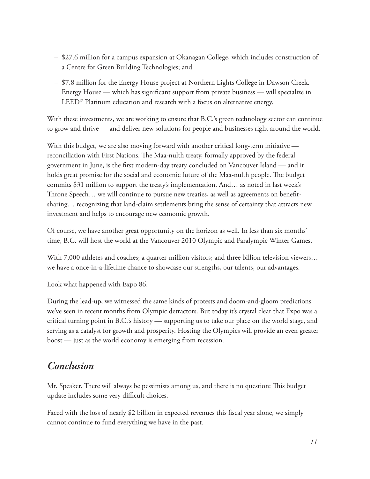- \$27.6 million for a campus expansion at Okanagan College, which includes construction of a Centre for Green Building Technologies; and
- \$7.8 million for the Energy House project at Northern Lights College in Dawson Creek. Energy House — which has significant support from private business — will specialize in LEED© Platinum education and research with a focus on alternative energy.

With these investments, we are working to ensure that B.C.'s green technology sector can continue to grow and thrive — and deliver new solutions for people and businesses right around the world.

With this budget, we are also moving forward with another critical long-term initiative reconciliation with First Nations. The Maa-nulth treaty, formally approved by the federal government in June, is the first modern-day treaty concluded on Vancouver Island — and it holds great promise for the social and economic future of the Maa-nulth people. The budget commits \$31 million to support the treaty's implementation. And… as noted in last week's Throne Speech… we will continue to pursue new treaties, as well as agreements on benefitsharing… recognizing that land-claim settlements bring the sense of certainty that attracts new investment and helps to encourage new economic growth.

Of course, we have another great opportunity on the horizon as well. In less than six months' time, B.C. will host the world at the Vancouver 2010 Olympic and Paralympic Winter Games.

With 7,000 athletes and coaches; a quarter-million visitors; and three billion television viewers... we have a once-in-a-lifetime chance to showcase our strengths, our talents, our advantages.

Look what happened with Expo 86.

During the lead-up, we witnessed the same kinds of protests and doom-and-gloom predictions we've seen in recent months from Olympic detractors. But today it's crystal clear that Expo was a critical turning point in B.C.'s history — supporting us to take our place on the world stage, and serving as a catalyst for growth and prosperity. Hosting the Olympics will provide an even greater boost — just as the world economy is emerging from recession.

#### *Conclusion*

Mr. Speaker. There will always be pessimists among us, and there is no question: This budget update includes some very difficult choices.

Faced with the loss of nearly \$2 billion in expected revenues this fiscal year alone, we simply cannot continue to fund everything we have in the past.